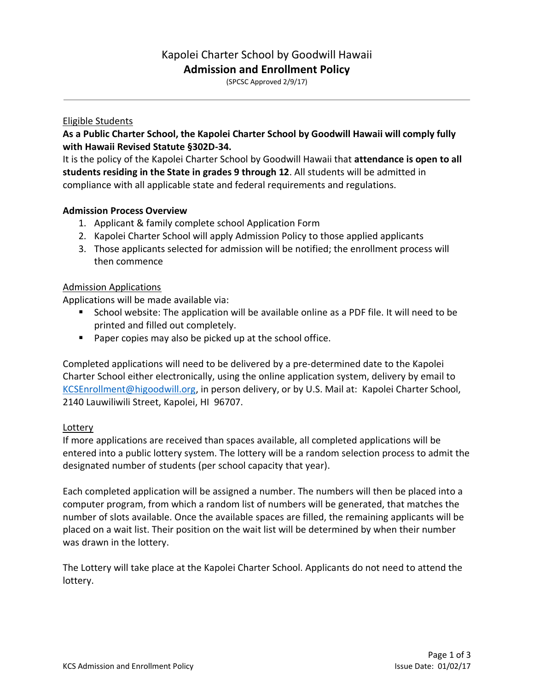# Kapolei Charter School by Goodwill Hawaii **Admission and Enrollment Policy**

(SPCSC Approved 2/9/17)

#### Eligible Students

# **As a Public Charter School, the Kapolei Charter School by Goodwill Hawaii will comply fully with Hawaii Revised Statute §302D-34.**

It is the policy of the Kapolei Charter School by Goodwill Hawaii that **attendance is open to all students residing in the State in grades 9 through 12**. All students will be admitted in compliance with all applicable state and federal requirements and regulations.

# **Admission Process Overview**

- 1. Applicant & family complete school Application Form
- 2. Kapolei Charter School will apply Admission Policy to those applied applicants
- 3. Those applicants selected for admission will be notified; the enrollment process will then commence

#### Admission Applications

Applications will be made available via:

- School website: The application will be available online as a PDF file. It will need to be printed and filled out completely.
- Paper copies may also be picked up at the school office.

Completed applications will need to be delivered by a pre-determined date to the Kapolei Charter School either electronically, using the online application system, delivery by email to [KCSEnrollment@higoodwill.org,](mailto:KCSEnrollment@higoodwill.org) in person delivery, or by U.S. Mail at: Kapolei Charter School, 2140 Lauwiliwili Street, Kapolei, HI 96707.

#### Lottery

If more applications are received than spaces available, all completed applications will be entered into a public lottery system. The lottery will be a random selection process to admit the designated number of students (per school capacity that year).

Each completed application will be assigned a number. The numbers will then be placed into a computer program, from which a random list of numbers will be generated, that matches the number of slots available. Once the available spaces are filled, the remaining applicants will be placed on a wait list. Their position on the wait list will be determined by when their number was drawn in the lottery.

The Lottery will take place at the Kapolei Charter School. Applicants do not need to attend the lottery.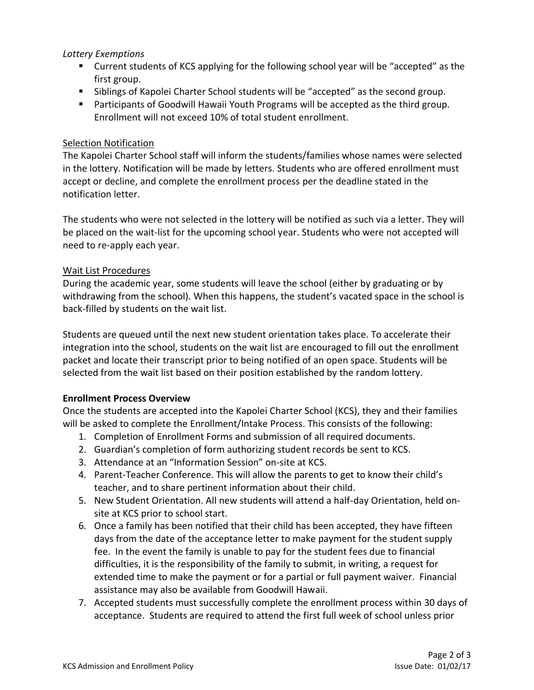# *Lottery Exemptions*

- Current students of KCS applying for the following school year will be "accepted" as the first group.
- **EXEDENT Steps** of Kapolei Charter School students will be "accepted" as the second group.
- Participants of Goodwill Hawaii Youth Programs will be accepted as the third group. Enrollment will not exceed 10% of total student enrollment.

# Selection Notification

The Kapolei Charter School staff will inform the students/families whose names were selected in the lottery. Notification will be made by letters. Students who are offered enrollment must accept or decline, and complete the enrollment process per the deadline stated in the notification letter.

The students who were not selected in the lottery will be notified as such via a letter. They will be placed on the wait-list for the upcoming school year. Students who were not accepted will need to re-apply each year.

# Wait List Procedures

During the academic year, some students will leave the school (either by graduating or by withdrawing from the school). When this happens, the student's vacated space in the school is back-filled by students on the wait list.

Students are queued until the next new student orientation takes place. To accelerate their integration into the school, students on the wait list are encouraged to fill out the enrollment packet and locate their transcript prior to being notified of an open space. Students will be selected from the wait list based on their position established by the random lottery.

#### **Enrollment Process Overview**

Once the students are accepted into the Kapolei Charter School (KCS), they and their families will be asked to complete the Enrollment/Intake Process. This consists of the following:

- 1. Completion of Enrollment Forms and submission of all required documents.
- 2. Guardian's completion of form authorizing student records be sent to KCS.
- 3. Attendance at an "Information Session" on-site at KCS.
- 4. Parent-Teacher Conference. This will allow the parents to get to know their child's teacher, and to share pertinent information about their child.
- 5. New Student Orientation. All new students will attend a half-day Orientation, held onsite at KCS prior to school start.
- 6. Once a family has been notified that their child has been accepted, they have fifteen days from the date of the acceptance letter to make payment for the student supply fee. In the event the family is unable to pay for the student fees due to financial difficulties, it is the responsibility of the family to submit, in writing, a request for extended time to make the payment or for a partial or full payment waiver. Financial assistance may also be available from Goodwill Hawaii.
- 7. Accepted students must successfully complete the enrollment process within 30 days of acceptance. Students are required to attend the first full week of school unless prior